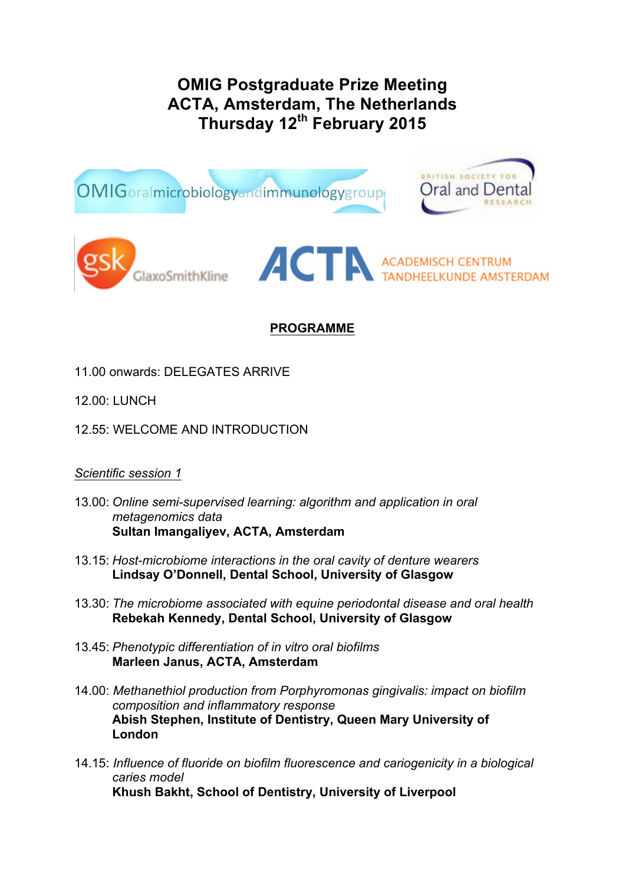# **OMIG Postgraduate Prize Meeting ACTA, Amsterdam, The Netherlands Thursday 12th February 2015**



# **PROGRAMME**

- 11.00 onwards: DELEGATES ARRIVE
- 12.00: LUNCH
- 12.55: WELCOME AND INTRODUCTION

### *Scientific session 1*

- 13.00: *Online semi-supervised learning: algorithm and application in oral metagenomics data* **Sultan Imangaliyev, ACTA, Amsterdam**
- 13.15: *Host-microbiome interactions in the oral cavity of denture wearers* **Lindsay O'Donnell, Dental School, University of Glasgow**
- 13.30: *The microbiome associated with equine periodontal disease and oral health* **Rebekah Kennedy, Dental School, University of Glasgow**
- 13.45: *Phenotypic differentiation of in vitro oral biofilms* **Marleen Janus, ACTA, Amsterdam**
- 14.00: *Methanethiol production from Porphyromonas gingivalis: impact on biofilm composition and inflammatory response* **Abish Stephen, Institute of Dentistry, Queen Mary University of London**
- 14.15: *Influence of fluoride on biofilm fluorescence and cariogenicity in a biological caries model* **Khush Bakht, School of Dentistry, University of Liverpool**